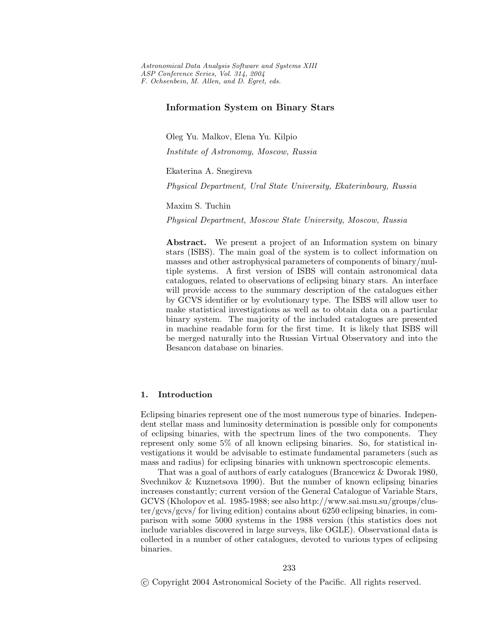# **Information System on Binary Stars**

Oleg Yu. Malkov, Elena Yu. Kilpio

*Institute of Astronomy, Moscow, Russia*

Ekaterina A. Snegireva

*Physical Department, Ural State University, Ekaterinbourg, Russia*

#### Maxim S. Tuchin

*Physical Department, Moscow State University, Moscow, Russia*

Abstract. We present a project of an Information system on binary stars (ISBS). The main goal of the system is to collect information on masses and other astrophysical parameters of components of binary/multiple systems. A first version of ISBS will contain astronomical data catalogues, related to observations of eclipsing binary stars. An interface will provide access to the summary description of the catalogues either by GCVS identifier or by evolutionary type. The ISBS will allow user to make statistical investigations as well as to obtain data on a particular binary system. The majority of the included catalogues are presented in machine readable form for the first time. It is likely that ISBS will be merged naturally into the Russian Virtual Observatory and into the Besancon database on binaries.

## **1. Introduction**

Eclipsing binaries represent one of the most numerous type of binaries. Independent stellar mass and luminosity determination is possible only for components of eclipsing binaries, with the spectrum lines of the two components. They represent only some 5% of all known eclipsing binaries. So, for statistical investigations it would be advisable to estimate fundamental parameters (such as mass and radius) for eclipsing binaries with unknown spectroscopic elements.

That was a goal of authors of early catalogues (Brancewicz & Dworak 1980, Svechnikov & Kuznetsova 1990). But the number of known eclipsing binaries increases constantly; current version of the General Catalogue of Variable Stars, GCVS (Kholopov et al. 1985-1988; see also http://www.sai.msu.su/groups/cluster/gcvs/gcvs/ for living edition) contains about 6250 eclipsing binaries, in comparison with some 5000 systems in the 1988 version (this statistics does not include variables discovered in large surveys, like OGLE). Observational data is collected in a number of other catalogues, devoted to various types of eclipsing binaries.

c Copyright 2004 Astronomical Society of the Pacific. All rights reserved.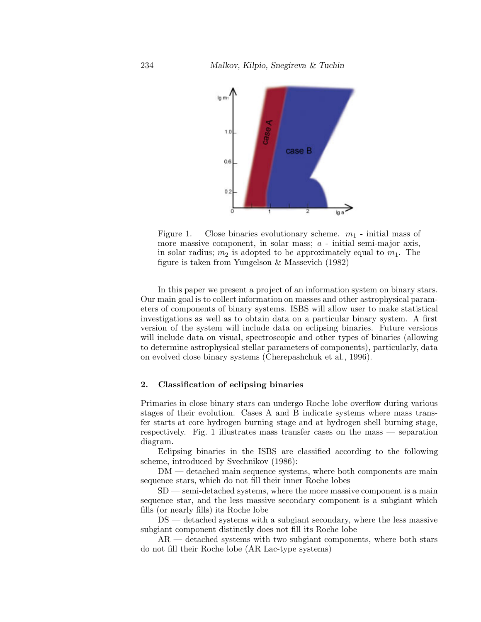

Figure 1. Close binaries evolutionary scheme.  $m_1$  - initial mass of more massive component, in solar mass; *a* - initial semi-major axis, in solar radius;  $m_2$  is adopted to be approximately equal to  $m_1$ . The figure is taken from Yungelson & Massevich (1982)

In this paper we present a project of an information system on binary stars. Our main goal is to collect information on masses and other astrophysical parameters of components of binary systems. ISBS will allow user to make statistical investigations as well as to obtain data on a particular binary system. A first version of the system will include data on eclipsing binaries. Future versions will include data on visual, spectroscopic and other types of binaries (allowing to determine astrophysical stellar parameters of components), particularly, data on evolved close binary systems (Cherepashchuk et al., 1996).

### **2. Classification of eclipsing binaries**

Primaries in close binary stars can undergo Roche lobe overflow during various stages of their evolution. Cases A and B indicate systems where mass transfer starts at core hydrogen burning stage and at hydrogen shell burning stage, respectively. Fig. 1 illustrates mass transfer cases on the mass — separation diagram.

Eclipsing binaries in the ISBS are classified according to the following scheme, introduced by Svechnikov (1986):

DM — detached main sequence systems, where both components are main sequence stars, which do not fill their inner Roche lobes

SD — semi-detached systems, where the more massive component is a main sequence star, and the less massive secondary component is a subgiant which fills (or nearly fills) its Roche lobe

DS — detached systems with a subgiant secondary, where the less massive subgiant component distinctly does not fill its Roche lobe

 $AR$  — detached systems with two subgiant components, where both stars do not fill their Roche lobe (AR Lac-type systems)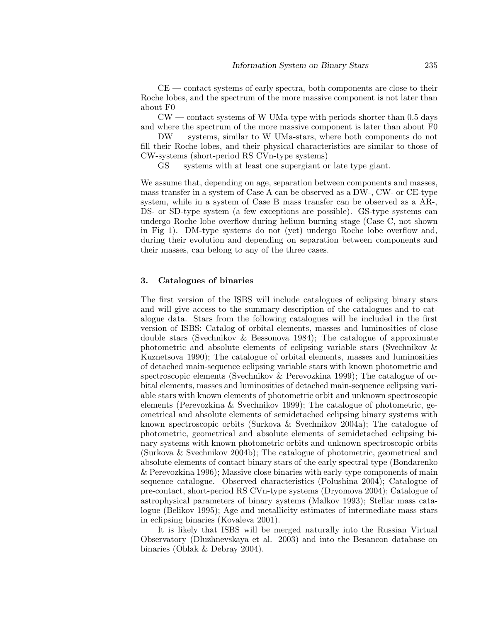CE — contact systems of early spectra, both components are close to their Roche lobes, and the spectrum of the more massive component is not later than about F0

 $\text{CW}$  — contact systems of W UMa-type with periods shorter than 0.5 days and where the spectrum of the more massive component is later than about F0

DW — systems, similar to W UMa-stars, where both components do not fill their Roche lobes, and their physical characteristics are similar to those of CW-systems (short-period RS CVn-type systems)

GS — systems with at least one supergiant or late type giant.

We assume that, depending on age, separation between components and masses, mass transfer in a system of Case A can be observed as a DW-, CW- or CE-type system, while in a system of Case B mass transfer can be observed as a AR-, DS- or SD-type system (a few exceptions are possible). GS-type systems can undergo Roche lobe overflow during helium burning stage (Case C, not shown in Fig 1). DM-type systems do not (yet) undergo Roche lobe overflow and, during their evolution and depending on separation between components and their masses, can belong to any of the three cases.

## **3. Catalogues of binaries**

The first version of the ISBS will include catalogues of eclipsing binary stars and will give access to the summary description of the catalogues and to catalogue data. Stars from the following catalogues will be included in the first version of ISBS: Catalog of orbital elements, masses and luminosities of close double stars (Svechnikov & Bessonova 1984); The catalogue of approximate photometric and absolute elements of eclipsing variable stars (Svechnikov & Kuznetsova 1990); The catalogue of orbital elements, masses and luminosities of detached main-sequence eclipsing variable stars with known photometric and spectroscopic elements (Svechnikov & Perevozkina 1999); The catalogue of orbital elements, masses and luminosities of detached main-sequence eclipsing variable stars with known elements of photometric orbit and unknown spectroscopic elements (Perevozkina & Svechnikov 1999); The catalogue of photometric, geometrical and absolute elements of semidetached eclipsing binary systems with known spectroscopic orbits (Surkova & Svechnikov 2004a); The catalogue of photometric, geometrical and absolute elements of semidetached eclipsing binary systems with known photometric orbits and unknown spectroscopic orbits (Surkova & Svechnikov 2004b); The catalogue of photometric, geometrical and absolute elements of contact binary stars of the early spectral type (Bondarenko & Perevozkina 1996); Massive close binaries with early-type components of main sequence catalogue. Observed characteristics (Polushina 2004); Catalogue of pre-contact, short-period RS CVn-type systems (Dryomova 2004); Catalogue of astrophysical parameters of binary systems (Malkov 1993); Stellar mass catalogue (Belikov 1995); Age and metallicity estimates of intermediate mass stars in eclipsing binaries (Kovaleva 2001).

It is likely that ISBS will be merged naturally into the Russian Virtual Observatory (Dluzhnevskaya et al. 2003) and into the Besancon database on binaries (Oblak & Debray 2004).